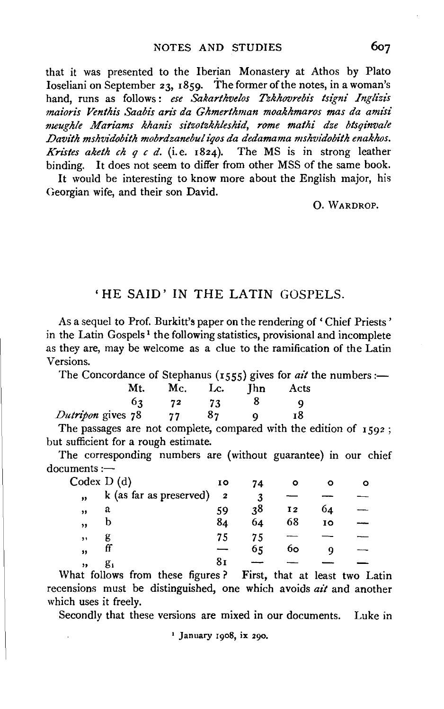that it was presented to the Iberian Monastery at Athos by Plato Ioseliani on September 23, 1859. The former of the notes, in a woman's hand, runs as follows : *ese Sakarthvelos Tzkhovrebis tsigni Ingli'zis maioris Venthis Saabis aris da Ghmerthman moakhmaros mas da amisi meughle Mariams khanis sitzotzkhleshid, rome mathi dze btsqinvale Davith mshvidobith mobrdzanebul iqos da dedamama mshvtdobith enakhos. Kristes akelh eh q c d.* (i.e. 1824). The MS is in strong leather binding. It does not seem to differ from other MSS of the same book.

It would be interesting to know more about the English major, his Georgian wife, and their son David.

0. WARDROP.

## 'HE SAID' IN THE LATIN GOSPELS.

As a sequel to Prof. Burkitt's paper on the rendering of 'Chief Priests' in the Latin Gospels<sup>1</sup> the following statistics, provisional and incomplete as they are, may be welcome as a clue to the ramification of the Latin Versions.

The Concordance of Stephanus (1555) gives for *ail* the numbers:-

|                   |     |      | \-JJJ/0<br>____ |            |      |  |  |
|-------------------|-----|------|-----------------|------------|------|--|--|
|                   | Mt. | Mc.  | Lc.             | <b>Thn</b> | Acts |  |  |
|                   | 63  | - 72 | 73              |            |      |  |  |
| Dutripon gives 78 |     | 77   | 87              |            | 18   |  |  |
|                   |     |      |                 |            |      |  |  |

The passages are not complete, compared with the edition of  $1592$ ; but sufficient for a rough estimate.

The corresponding numbers are (without guarantee) in our chief ocuments :-

| Codex D(d) |                         | 10                      | 74 |    |    | о |
|------------|-------------------------|-------------------------|----|----|----|---|
| ,,         | k (as far as preserved) | $\overline{\mathbf{2}}$ | 3  |    |    |   |
| ,,         | a                       | 59                      | 38 | 12 | 64 |   |
| ,,         |                         | 84                      | 64 | 68 | 10 |   |
| $, \,$     |                         | 75                      | 75 |    |    |   |
| ,,         | п                       |                         | 65 | 60 |    |   |
| ,,         |                         | 81                      |    |    |    |   |

What follows from these figures? First, that at least two Latin recensions must be distinguished, one which avoids *ait* and another which uses it freely.

Secondly that these versions are mixed in our documents. Luke in

1 January r9o8, ix 290.